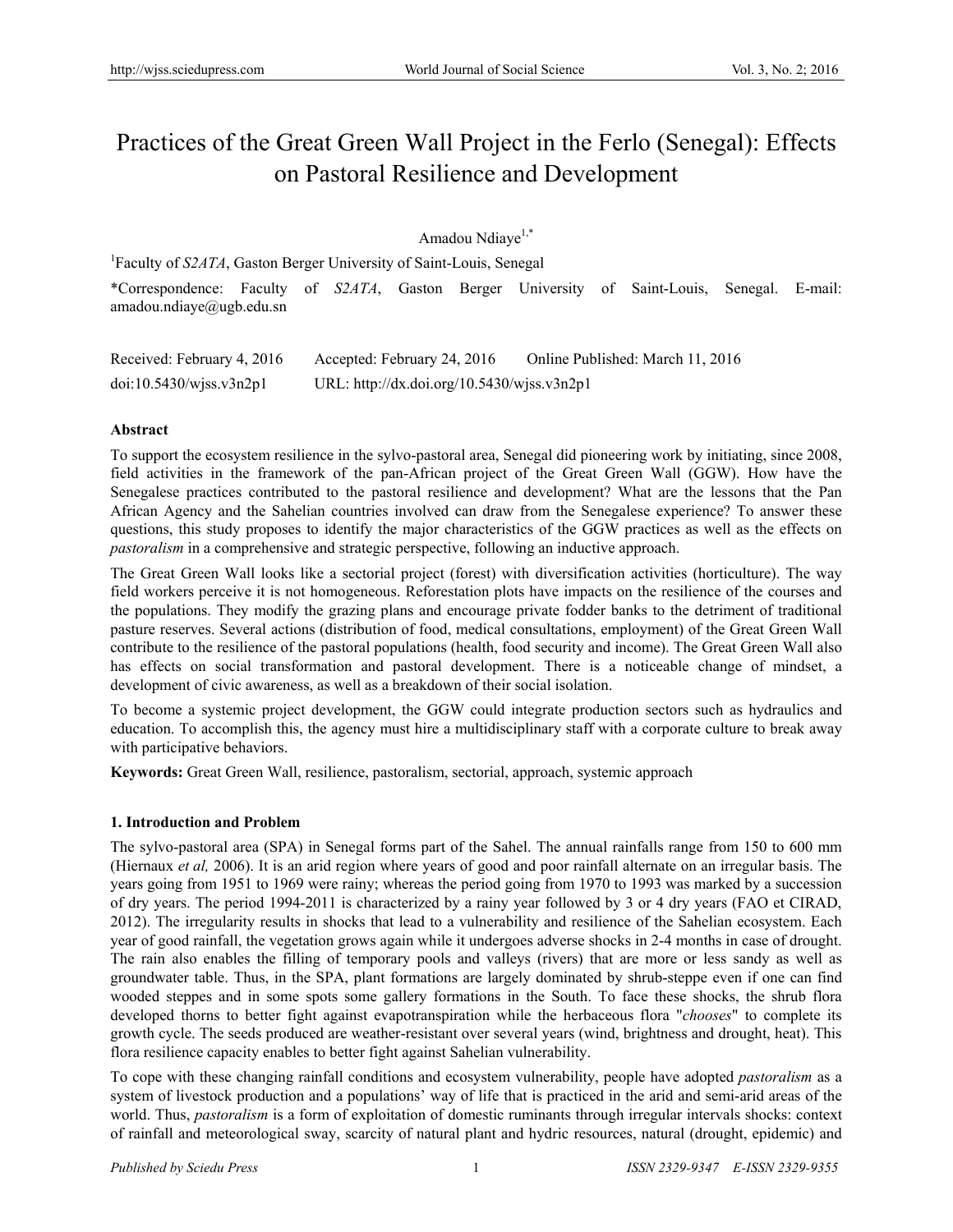# Practices of the Great Green Wall Project in the Ferlo (Senegal): Effects on Pastoral Resilience and Development

# Amadou Ndiaye<sup>1,\*</sup>

<sup>1</sup>Faculty of *S2ATA*, Gaston Berger University of Saint-Louis, Senegal \*Correspondence: Faculty of *S2ATA*, Gaston Berger University of Saint-Louis, Senegal. E-mail: amadou.ndiaye@ugb.edu.sn

| Received: February 4, 2016    | Accepted: February 24, 2016                | Online Published: March 11, 2016 |
|-------------------------------|--------------------------------------------|----------------------------------|
| $doi:10.5430/w$ iss. $v3n2p1$ | URL: http://dx.doi.org/10.5430/wjss.v3n2p1 |                                  |

## **Abstract**

To support the ecosystem resilience in the sylvo-pastoral area, Senegal did pioneering work by initiating, since 2008, field activities in the framework of the pan-African project of the Great Green Wall (GGW). How have the Senegalese practices contributed to the pastoral resilience and development? What are the lessons that the Pan African Agency and the Sahelian countries involved can draw from the Senegalese experience? To answer these questions, this study proposes to identify the major characteristics of the GGW practices as well as the effects on *pastoralism* in a comprehensive and strategic perspective, following an inductive approach.

The Great Green Wall looks like a sectorial project (forest) with diversification activities (horticulture). The way field workers perceive it is not homogeneous. Reforestation plots have impacts on the resilience of the courses and the populations. They modify the grazing plans and encourage private fodder banks to the detriment of traditional pasture reserves. Several actions (distribution of food, medical consultations, employment) of the Great Green Wall contribute to the resilience of the pastoral populations (health, food security and income). The Great Green Wall also has effects on social transformation and pastoral development. There is a noticeable change of mindset, a development of civic awareness, as well as a breakdown of their social isolation.

To become a systemic project development, the GGW could integrate production sectors such as hydraulics and education. To accomplish this, the agency must hire a multidisciplinary staff with a corporate culture to break away with participative behaviors.

**Keywords:** Great Green Wall, resilience, pastoralism, sectorial, approach, systemic approach

# **1. Introduction and Problem**

The sylvo-pastoral area (SPA) in Senegal forms part of the Sahel. The annual rainfalls range from 150 to 600 mm (Hiernaux *et al,* 2006). It is an arid region where years of good and poor rainfall alternate on an irregular basis. The years going from 1951 to 1969 were rainy; whereas the period going from 1970 to 1993 was marked by a succession of dry years. The period 1994-2011 is characterized by a rainy year followed by 3 or 4 dry years (FAO et CIRAD, 2012). The irregularity results in shocks that lead to a vulnerability and resilience of the Sahelian ecosystem. Each year of good rainfall, the vegetation grows again while it undergoes adverse shocks in 2-4 months in case of drought. The rain also enables the filling of temporary pools and valleys (rivers) that are more or less sandy as well as groundwater table. Thus, in the SPA, plant formations are largely dominated by shrub-steppe even if one can find wooded steppes and in some spots some gallery formations in the South. To face these shocks, the shrub flora developed thorns to better fight against evapotranspiration while the herbaceous flora "*chooses*" to complete its growth cycle. The seeds produced are weather-resistant over several years (wind, brightness and drought, heat). This flora resilience capacity enables to better fight against Sahelian vulnerability.

To cope with these changing rainfall conditions and ecosystem vulnerability, people have adopted *pastoralism* as a system of livestock production and a populations' way of life that is practiced in the arid and semi-arid areas of the world. Thus, *pastoralism* is a form of exploitation of domestic ruminants through irregular intervals shocks: context of rainfall and meteorological sway, scarcity of natural plant and hydric resources, natural (drought, epidemic) and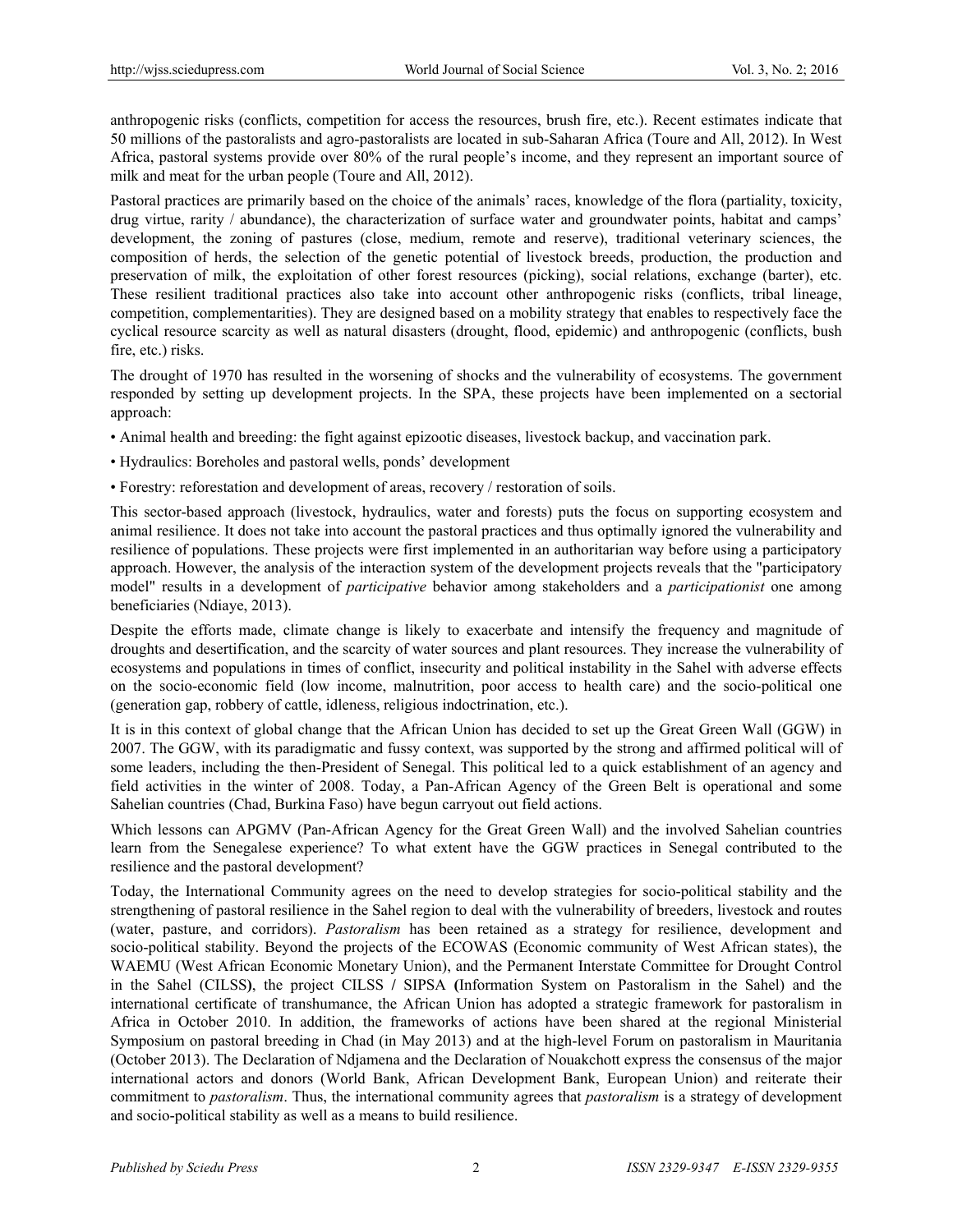anthropogenic risks (conflicts, competition for access the resources, brush fire, etc.). Recent estimates indicate that 50 millions of the pastoralists and agro-pastoralists are located in sub-Saharan Africa (Toure and All, 2012). In West Africa, pastoral systems provide over 80% of the rural people's income, and they represent an important source of milk and meat for the urban people (Toure and All, 2012).

Pastoral practices are primarily based on the choice of the animals' races, knowledge of the flora (partiality, toxicity, drug virtue, rarity / abundance), the characterization of surface water and groundwater points, habitat and camps' development, the zoning of pastures (close, medium, remote and reserve), traditional veterinary sciences, the composition of herds, the selection of the genetic potential of livestock breeds, production, the production and preservation of milk, the exploitation of other forest resources (picking), social relations, exchange (barter), etc. These resilient traditional practices also take into account other anthropogenic risks (conflicts, tribal lineage, competition, complementarities). They are designed based on a mobility strategy that enables to respectively face the cyclical resource scarcity as well as natural disasters (drought, flood, epidemic) and anthropogenic (conflicts, bush fire, etc.) risks.

The drought of 1970 has resulted in the worsening of shocks and the vulnerability of ecosystems. The government responded by setting up development projects. In the SPA, these projects have been implemented on a sectorial approach:

- Animal health and breeding: the fight against epizootic diseases, livestock backup, and vaccination park.
- Hydraulics: Boreholes and pastoral wells, ponds' development
- Forestry: reforestation and development of areas, recovery / restoration of soils.

This sector-based approach (livestock, hydraulics, water and forests) puts the focus on supporting ecosystem and animal resilience. It does not take into account the pastoral practices and thus optimally ignored the vulnerability and resilience of populations. These projects were first implemented in an authoritarian way before using a participatory approach. However, the analysis of the interaction system of the development projects reveals that the "participatory model" results in a development of *participative* behavior among stakeholders and a *participationist* one among beneficiaries (Ndiaye, 2013).

Despite the efforts made, climate change is likely to exacerbate and intensify the frequency and magnitude of droughts and desertification, and the scarcity of water sources and plant resources. They increase the vulnerability of ecosystems and populations in times of conflict, insecurity and political instability in the Sahel with adverse effects on the socio-economic field (low income, malnutrition, poor access to health care) and the socio-political one (generation gap, robbery of cattle, idleness, religious indoctrination, etc.).

It is in this context of global change that the African Union has decided to set up the Great Green Wall (GGW) in 2007. The GGW, with its paradigmatic and fussy context, was supported by the strong and affirmed political will of some leaders, including the then-President of Senegal. This political led to a quick establishment of an agency and field activities in the winter of 2008. Today, a Pan-African Agency of the Green Belt is operational and some Sahelian countries (Chad, Burkina Faso) have begun carryout out field actions.

Which lessons can APGMV (Pan-African Agency for the Great Green Wall) and the involved Sahelian countries learn from the Senegalese experience? To what extent have the GGW practices in Senegal contributed to the resilience and the pastoral development?

Today, the International Community agrees on the need to develop strategies for socio-political stability and the strengthening of pastoral resilience in the Sahel region to deal with the vulnerability of breeders, livestock and routes (water, pasture, and corridors). *Pastoralism* has been retained as a strategy for resilience, development and socio-political stability. Beyond the projects of the ECOWAS (Economic community of West African states), the WAEMU (West African Economic Monetary Union), and the Permanent Interstate Committee for Drought Control in the Sahel (CILSS**)**, the project CILSS **/** SIPSA **(**Information System on Pastoralism in the Sahel) and the international certificate of transhumance, the African Union has adopted a strategic framework for pastoralism in Africa in October 2010. In addition, the frameworks of actions have been shared at the regional Ministerial Symposium on pastoral breeding in Chad (in May 2013) and at the high-level Forum on pastoralism in Mauritania (October 2013). The Declaration of Ndjamena and the Declaration of Nouakchott express the consensus of the major international actors and donors (World Bank, African Development Bank, European Union) and reiterate their commitment to *pastoralism*. Thus, the international community agrees that *pastoralism* is a strategy of development and socio-political stability as well as a means to build resilience.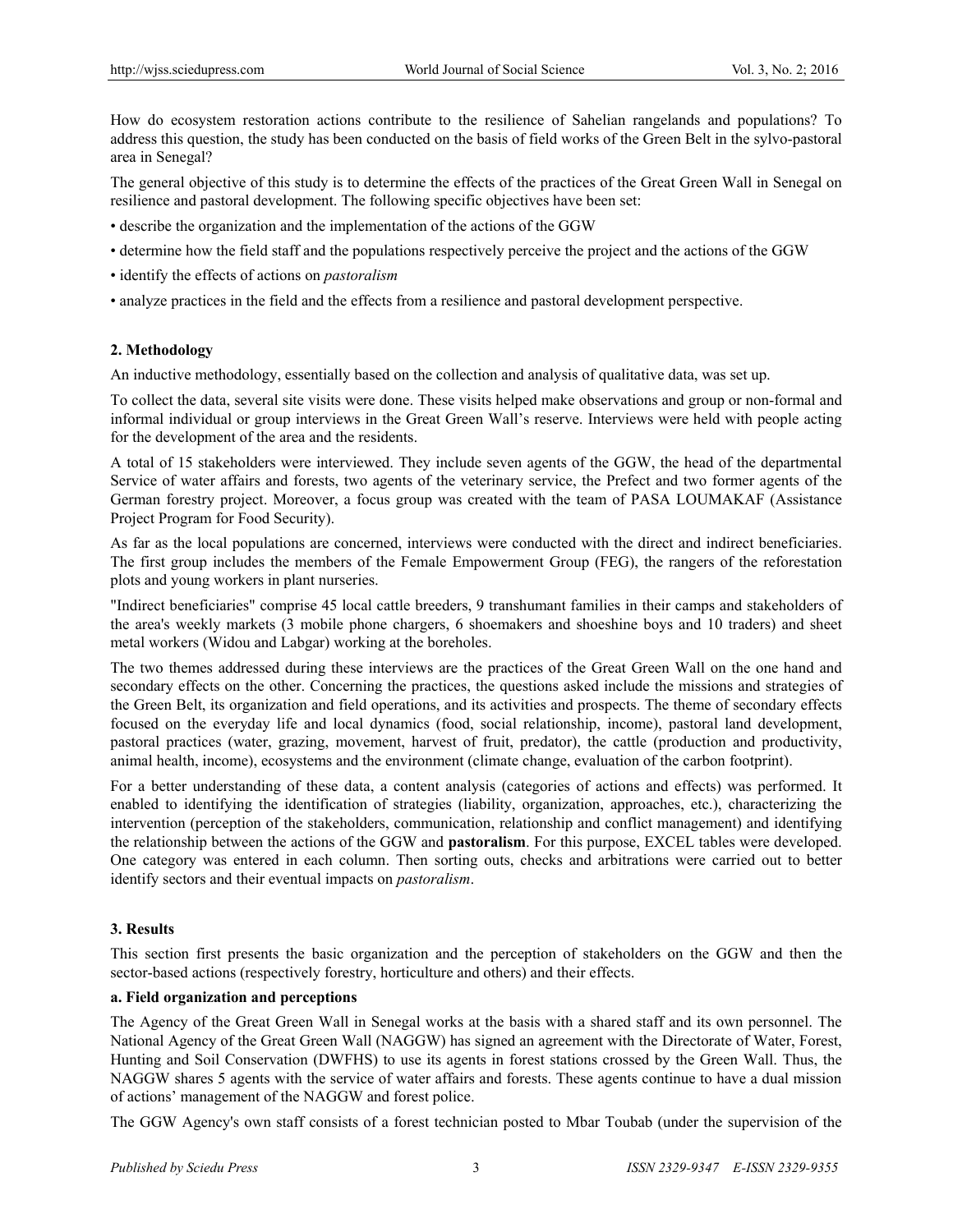How do ecosystem restoration actions contribute to the resilience of Sahelian rangelands and populations? To address this question, the study has been conducted on the basis of field works of the Green Belt in the sylvo-pastoral area in Senegal?

The general objective of this study is to determine the effects of the practices of the Great Green Wall in Senegal on resilience and pastoral development. The following specific objectives have been set:

- describe the organization and the implementation of the actions of the GGW
- determine how the field staff and the populations respectively perceive the project and the actions of the GGW
- identify the effects of actions on *pastoralism*
- analyze practices in the field and the effects from a resilience and pastoral development perspective.

#### **2. Methodology**

An inductive methodology, essentially based on the collection and analysis of qualitative data, was set up.

To collect the data, several site visits were done. These visits helped make observations and group or non-formal and informal individual or group interviews in the Great Green Wall's reserve. Interviews were held with people acting for the development of the area and the residents.

A total of 15 stakeholders were interviewed. They include seven agents of the GGW, the head of the departmental Service of water affairs and forests, two agents of the veterinary service, the Prefect and two former agents of the German forestry project. Moreover, a focus group was created with the team of PASA LOUMAKAF (Assistance Project Program for Food Security).

As far as the local populations are concerned, interviews were conducted with the direct and indirect beneficiaries. The first group includes the members of the Female Empowerment Group (FEG), the rangers of the reforestation plots and young workers in plant nurseries.

"Indirect beneficiaries" comprise 45 local cattle breeders, 9 transhumant families in their camps and stakeholders of the area's weekly markets (3 mobile phone chargers, 6 shoemakers and shoeshine boys and 10 traders) and sheet metal workers (Widou and Labgar) working at the boreholes.

The two themes addressed during these interviews are the practices of the Great Green Wall on the one hand and secondary effects on the other. Concerning the practices, the questions asked include the missions and strategies of the Green Belt, its organization and field operations, and its activities and prospects. The theme of secondary effects focused on the everyday life and local dynamics (food, social relationship, income), pastoral land development, pastoral practices (water, grazing, movement, harvest of fruit, predator), the cattle (production and productivity, animal health, income), ecosystems and the environment (climate change, evaluation of the carbon footprint).

For a better understanding of these data, a content analysis (categories of actions and effects) was performed. It enabled to identifying the identification of strategies (liability, organization, approaches, etc.), characterizing the intervention (perception of the stakeholders, communication, relationship and conflict management) and identifying the relationship between the actions of the GGW and **pastoralism**. For this purpose, EXCEL tables were developed. One category was entered in each column. Then sorting outs, checks and arbitrations were carried out to better identify sectors and their eventual impacts on *pastoralism*.

## **3. Results**

This section first presents the basic organization and the perception of stakeholders on the GGW and then the sector-based actions (respectively forestry, horticulture and others) and their effects.

#### **a. Field organization and perceptions**

The Agency of the Great Green Wall in Senegal works at the basis with a shared staff and its own personnel. The National Agency of the Great Green Wall (NAGGW) has signed an agreement with the Directorate of Water, Forest, Hunting and Soil Conservation (DWFHS) to use its agents in forest stations crossed by the Green Wall. Thus, the NAGGW shares 5 agents with the service of water affairs and forests. These agents continue to have a dual mission of actions' management of the NAGGW and forest police.

The GGW Agency's own staff consists of a forest technician posted to Mbar Toubab (under the supervision of the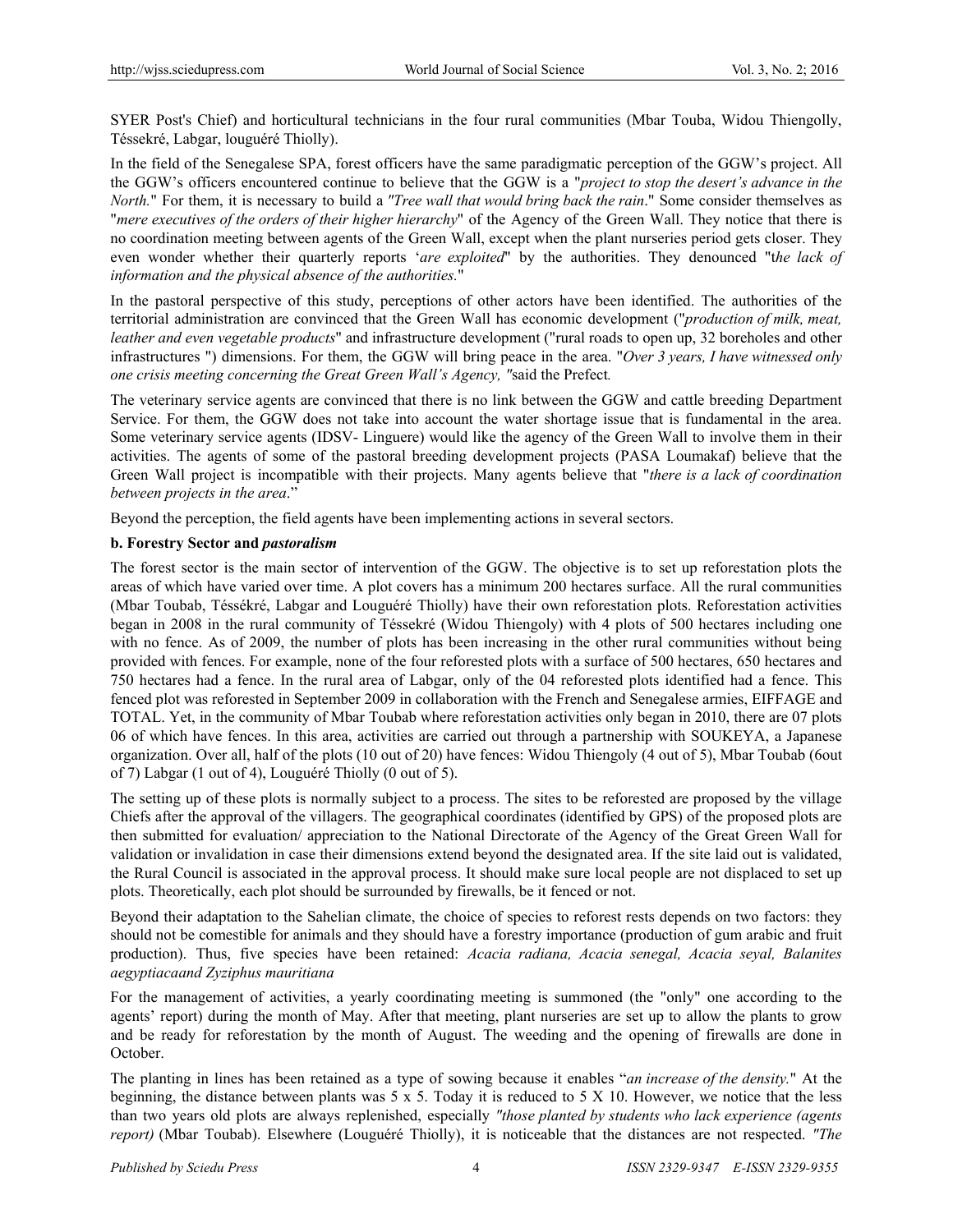SYER Post's Chief) and horticultural technicians in the four rural communities (Mbar Touba, Widou Thiengolly, Téssekré, Labgar, louguéré Thiolly).

In the field of the Senegalese SPA, forest officers have the same paradigmatic perception of the GGW's project. All the GGW's officers encountered continue to believe that the GGW is a "*project to stop the desert's advance in the North.*" For them, it is necessary to build a *"Tree wall that would bring back the rain*." Some consider themselves as "*mere executives of the orders of their higher hierarchy*" of the Agency of the Green Wall. They notice that there is no coordination meeting between agents of the Green Wall, except when the plant nurseries period gets closer. They even wonder whether their quarterly reports '*are exploited*" by the authorities. They denounced "t*he lack of information and the physical absence of the authorities.*"

In the pastoral perspective of this study, perceptions of other actors have been identified. The authorities of the territorial administration are convinced that the Green Wall has economic development ("*production of milk, meat, leather and even vegetable products*" and infrastructure development ("rural roads to open up, 32 boreholes and other infrastructures ") dimensions. For them, the GGW will bring peace in the area. "*Over 3 years, I have witnessed only one crisis meeting concerning the Great Green Wall's Agency, "*said the Prefect*.* 

The veterinary service agents are convinced that there is no link between the GGW and cattle breeding Department Service. For them, the GGW does not take into account the water shortage issue that is fundamental in the area. Some veterinary service agents (IDSV- Linguere) would like the agency of the Green Wall to involve them in their activities. The agents of some of the pastoral breeding development projects (PASA Loumakaf) believe that the Green Wall project is incompatible with their projects. Many agents believe that "*there is a lack of coordination between projects in the area*."

Beyond the perception, the field agents have been implementing actions in several sectors.

#### **b. Forestry Sector and** *pastoralism*

The forest sector is the main sector of intervention of the GGW. The objective is to set up reforestation plots the areas of which have varied over time. A plot covers has a minimum 200 hectares surface. All the rural communities (Mbar Toubab, Téssékré, Labgar and Louguéré Thiolly) have their own reforestation plots. Reforestation activities began in 2008 in the rural community of Téssekré (Widou Thiengoly) with 4 plots of 500 hectares including one with no fence. As of 2009, the number of plots has been increasing in the other rural communities without being provided with fences. For example, none of the four reforested plots with a surface of 500 hectares, 650 hectares and 750 hectares had a fence. In the rural area of Labgar, only of the 04 reforested plots identified had a fence. This fenced plot was reforested in September 2009 in collaboration with the French and Senegalese armies, EIFFAGE and TOTAL. Yet, in the community of Mbar Toubab where reforestation activities only began in 2010, there are 07 plots 06 of which have fences. In this area, activities are carried out through a partnership with SOUKEYA, a Japanese organization. Over all, half of the plots (10 out of 20) have fences: Widou Thiengoly (4 out of 5), Mbar Toubab (6out of 7) Labgar (1 out of 4), Louguéré Thiolly (0 out of 5).

The setting up of these plots is normally subject to a process. The sites to be reforested are proposed by the village Chiefs after the approval of the villagers. The geographical coordinates (identified by GPS) of the proposed plots are then submitted for evaluation/ appreciation to the National Directorate of the Agency of the Great Green Wall for validation or invalidation in case their dimensions extend beyond the designated area. If the site laid out is validated, the Rural Council is associated in the approval process. It should make sure local people are not displaced to set up plots. Theoretically, each plot should be surrounded by firewalls, be it fenced or not.

Beyond their adaptation to the Sahelian climate, the choice of species to reforest rests depends on two factors: they should not be comestible for animals and they should have a forestry importance (production of gum arabic and fruit production). Thus, five species have been retained: *Acacia radiana, Acacia senegal, Acacia seyal, Balanites aegyptiacaand Zyziphus mauritiana* 

For the management of activities, a yearly coordinating meeting is summoned (the "only" one according to the agents' report) during the month of May. After that meeting, plant nurseries are set up to allow the plants to grow and be ready for reforestation by the month of August. The weeding and the opening of firewalls are done in October.

The planting in lines has been retained as a type of sowing because it enables "*an increase of the density.*" At the beginning, the distance between plants was  $5 \times 5$ . Today it is reduced to  $5 \times 10$ . However, we notice that the less than two years old plots are always replenished, especially *"those planted by students who lack experience (agents report)* (Mbar Toubab). Elsewhere (Louguéré Thiolly), it is noticeable that the distances are not respected. *"The*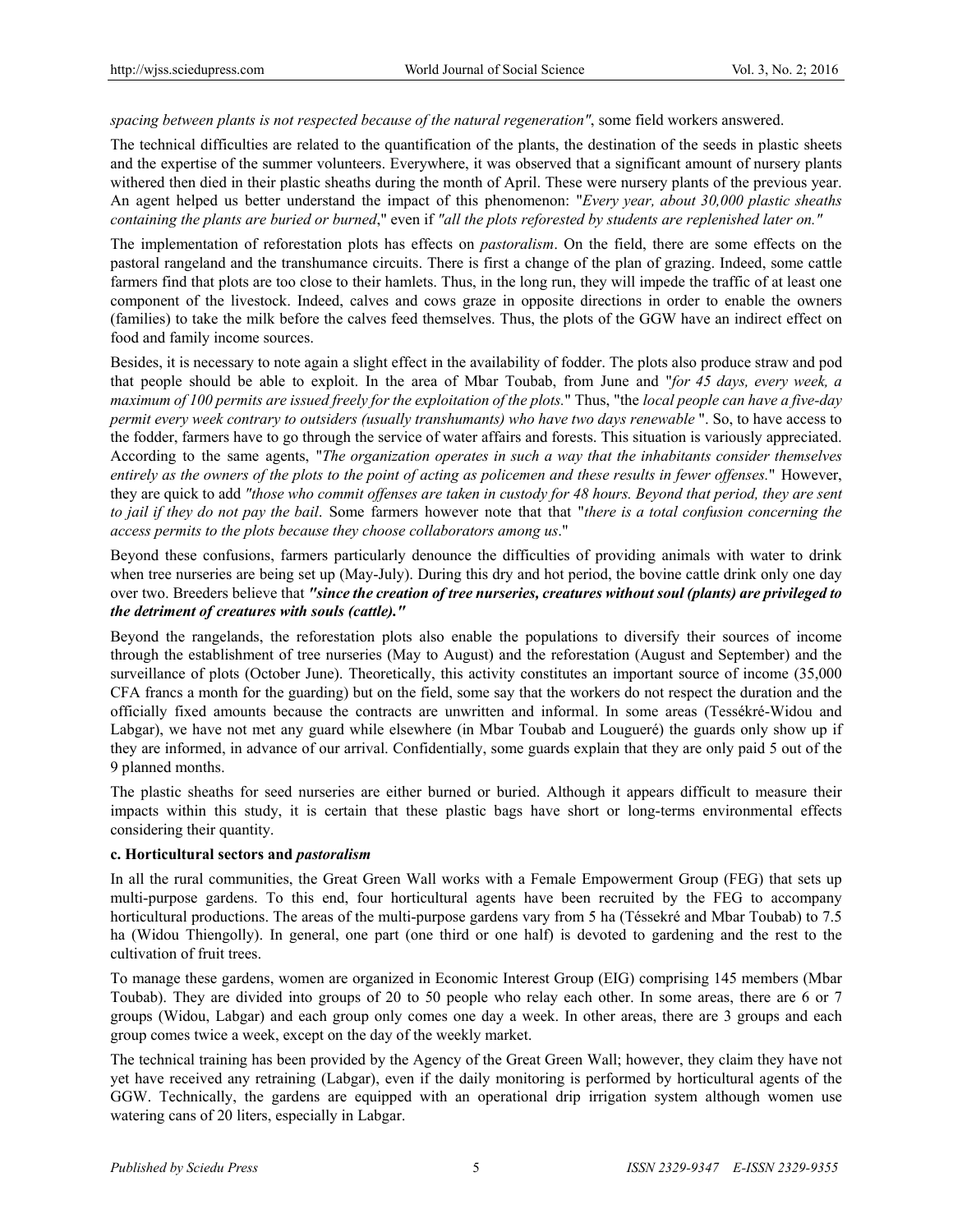# *spacing between plants is not respected because of the natural regeneration"*, some field workers answered.

The technical difficulties are related to the quantification of the plants, the destination of the seeds in plastic sheets and the expertise of the summer volunteers. Everywhere, it was observed that a significant amount of nursery plants withered then died in their plastic sheaths during the month of April. These were nursery plants of the previous year. An agent helped us better understand the impact of this phenomenon: "*Every year, about 30,000 plastic sheaths containing the plants are buried or burned*," even if *"all the plots reforested by students are replenished later on."* 

The implementation of reforestation plots has effects on *pastoralism*. On the field, there are some effects on the pastoral rangeland and the transhumance circuits. There is first a change of the plan of grazing. Indeed, some cattle farmers find that plots are too close to their hamlets. Thus, in the long run, they will impede the traffic of at least one component of the livestock. Indeed, calves and cows graze in opposite directions in order to enable the owners (families) to take the milk before the calves feed themselves. Thus, the plots of the GGW have an indirect effect on food and family income sources.

Besides, it is necessary to note again a slight effect in the availability of fodder. The plots also produce straw and pod that people should be able to exploit. In the area of Mbar Toubab, from June and "*for 45 days, every week, a maximum of 100 permits are issued freely for the exploitation of the plots.*" Thus, "the *local people can have a five-day permit every week contrary to outsiders (usually transhumants) who have two days renewable* ". So, to have access to the fodder, farmers have to go through the service of water affairs and forests. This situation is variously appreciated. According to the same agents, "*The organization operates in such a way that the inhabitants consider themselves entirely as the owners of the plots to the point of acting as policemen and these results in fewer offenses.*" However, they are quick to add *"those who commit offenses are taken in custody for 48 hours. Beyond that period, they are sent to jail if they do not pay the bail*. Some farmers however note that that "*there is a total confusion concerning the access permits to the plots because they choose collaborators among us*."

Beyond these confusions, farmers particularly denounce the difficulties of providing animals with water to drink when tree nurseries are being set up (May-July). During this dry and hot period, the bovine cattle drink only one day over two. Breeders believe that *"since the creation of tree nurseries, creatures without soul (plants) are privileged to the detriment of creatures with souls (cattle)."*

Beyond the rangelands, the reforestation plots also enable the populations to diversify their sources of income through the establishment of tree nurseries (May to August) and the reforestation (August and September) and the surveillance of plots (October June). Theoretically, this activity constitutes an important source of income (35,000 CFA francs a month for the guarding) but on the field, some say that the workers do not respect the duration and the officially fixed amounts because the contracts are unwritten and informal. In some areas (Tessékré-Widou and Labgar), we have not met any guard while elsewhere (in Mbar Toubab and Lougueré) the guards only show up if they are informed, in advance of our arrival. Confidentially, some guards explain that they are only paid 5 out of the 9 planned months.

The plastic sheaths for seed nurseries are either burned or buried. Although it appears difficult to measure their impacts within this study, it is certain that these plastic bags have short or long-terms environmental effects considering their quantity.

## **c. Horticultural sectors and** *pastoralism*

In all the rural communities, the Great Green Wall works with a Female Empowerment Group (FEG) that sets up multi-purpose gardens. To this end, four horticultural agents have been recruited by the FEG to accompany horticultural productions. The areas of the multi-purpose gardens vary from 5 ha (Téssekré and Mbar Toubab) to 7.5 ha (Widou Thiengolly). In general, one part (one third or one half) is devoted to gardening and the rest to the cultivation of fruit trees.

To manage these gardens, women are organized in Economic Interest Group (EIG) comprising 145 members (Mbar Toubab). They are divided into groups of 20 to 50 people who relay each other. In some areas, there are 6 or 7 groups (Widou, Labgar) and each group only comes one day a week. In other areas, there are 3 groups and each group comes twice a week, except on the day of the weekly market.

The technical training has been provided by the Agency of the Great Green Wall; however, they claim they have not yet have received any retraining (Labgar), even if the daily monitoring is performed by horticultural agents of the GGW. Technically, the gardens are equipped with an operational drip irrigation system although women use watering cans of 20 liters, especially in Labgar.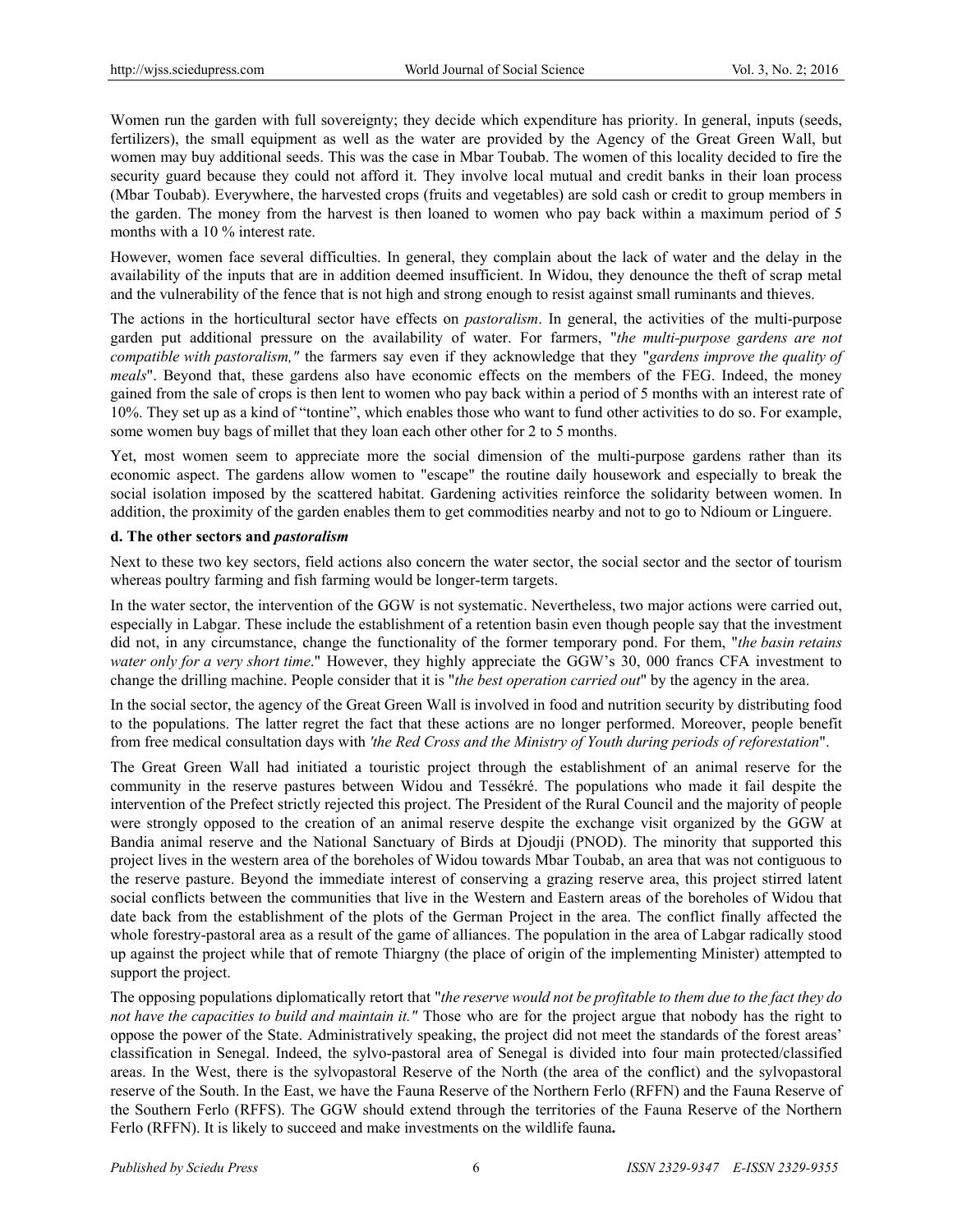Women run the garden with full sovereignty; they decide which expenditure has priority. In general, inputs (seeds, fertilizers), the small equipment as well as the water are provided by the Agency of the Great Green Wall, but women may buy additional seeds. This was the case in Mbar Toubab. The women of this locality decided to fire the security guard because they could not afford it. They involve local mutual and credit banks in their loan process (Mbar Toubab). Everywhere, the harvested crops (fruits and vegetables) are sold cash or credit to group members in the garden. The money from the harvest is then loaned to women who pay back within a maximum period of 5 months with a 10 % interest rate.

However, women face several difficulties. In general, they complain about the lack of water and the delay in the availability of the inputs that are in addition deemed insufficient. In Widou, they denounce the theft of scrap metal and the vulnerability of the fence that is not high and strong enough to resist against small ruminants and thieves.

The actions in the horticultural sector have effects on *pastoralism*. In general, the activities of the multi-purpose garden put additional pressure on the availability of water. For farmers, "*the multi-purpose gardens are not compatible with pastoralism,"* the farmers say even if they acknowledge that they "*gardens improve the quality of meals*". Beyond that, these gardens also have economic effects on the members of the FEG. Indeed, the money gained from the sale of crops is then lent to women who pay back within a period of 5 months with an interest rate of 10%. They set up as a kind of "tontine", which enables those who want to fund other activities to do so. For example, some women buy bags of millet that they loan each other other for 2 to 5 months.

Yet, most women seem to appreciate more the social dimension of the multi-purpose gardens rather than its economic aspect. The gardens allow women to "escape" the routine daily housework and especially to break the social isolation imposed by the scattered habitat. Gardening activities reinforce the solidarity between women. In addition, the proximity of the garden enables them to get commodities nearby and not to go to Ndioum or Linguere.

#### **d. The other sectors and** *pastoralism*

Next to these two key sectors, field actions also concern the water sector, the social sector and the sector of tourism whereas poultry farming and fish farming would be longer-term targets.

In the water sector, the intervention of the GGW is not systematic. Nevertheless, two major actions were carried out, especially in Labgar. These include the establishment of a retention basin even though people say that the investment did not, in any circumstance, change the functionality of the former temporary pond. For them, "*the basin retains water only for a very short time*." However, they highly appreciate the GGW's 30, 000 francs CFA investment to change the drilling machine. People consider that it is "*the best operation carried out*" by the agency in the area.

In the social sector, the agency of the Great Green Wall is involved in food and nutrition security by distributing food to the populations. The latter regret the fact that these actions are no longer performed. Moreover, people benefit from free medical consultation days with *'the Red Cross and the Ministry of Youth during periods of reforestation*".

The Great Green Wall had initiated a touristic project through the establishment of an animal reserve for the community in the reserve pastures between Widou and Tessékré. The populations who made it fail despite the intervention of the Prefect strictly rejected this project. The President of the Rural Council and the majority of people were strongly opposed to the creation of an animal reserve despite the exchange visit organized by the GGW at Bandia animal reserve and the National Sanctuary of Birds at Djoudji (PNOD). The minority that supported this project lives in the western area of the boreholes of Widou towards Mbar Toubab, an area that was not contiguous to the reserve pasture. Beyond the immediate interest of conserving a grazing reserve area, this project stirred latent social conflicts between the communities that live in the Western and Eastern areas of the boreholes of Widou that date back from the establishment of the plots of the German Project in the area. The conflict finally affected the whole forestry-pastoral area as a result of the game of alliances. The population in the area of Labgar radically stood up against the project while that of remote Thiargny (the place of origin of the implementing Minister) attempted to support the project.

The opposing populations diplomatically retort that "*the reserve would not be profitable to them due to the fact they do not have the capacities to build and maintain it."* Those who are for the project argue that nobody has the right to oppose the power of the State. Administratively speaking, the project did not meet the standards of the forest areas' classification in Senegal. Indeed, the sylvo-pastoral area of Senegal is divided into four main protected/classified areas. In the West, there is the sylvopastoral Reserve of the North (the area of the conflict) and the sylvopastoral reserve of the South. In the East, we have the Fauna Reserve of the Northern Ferlo (RFFN) and the Fauna Reserve of the Southern Ferlo (RFFS). The GGW should extend through the territories of the Fauna Reserve of the Northern Ferlo (RFFN). It is likely to succeed and make investments on the wildlife fauna**.**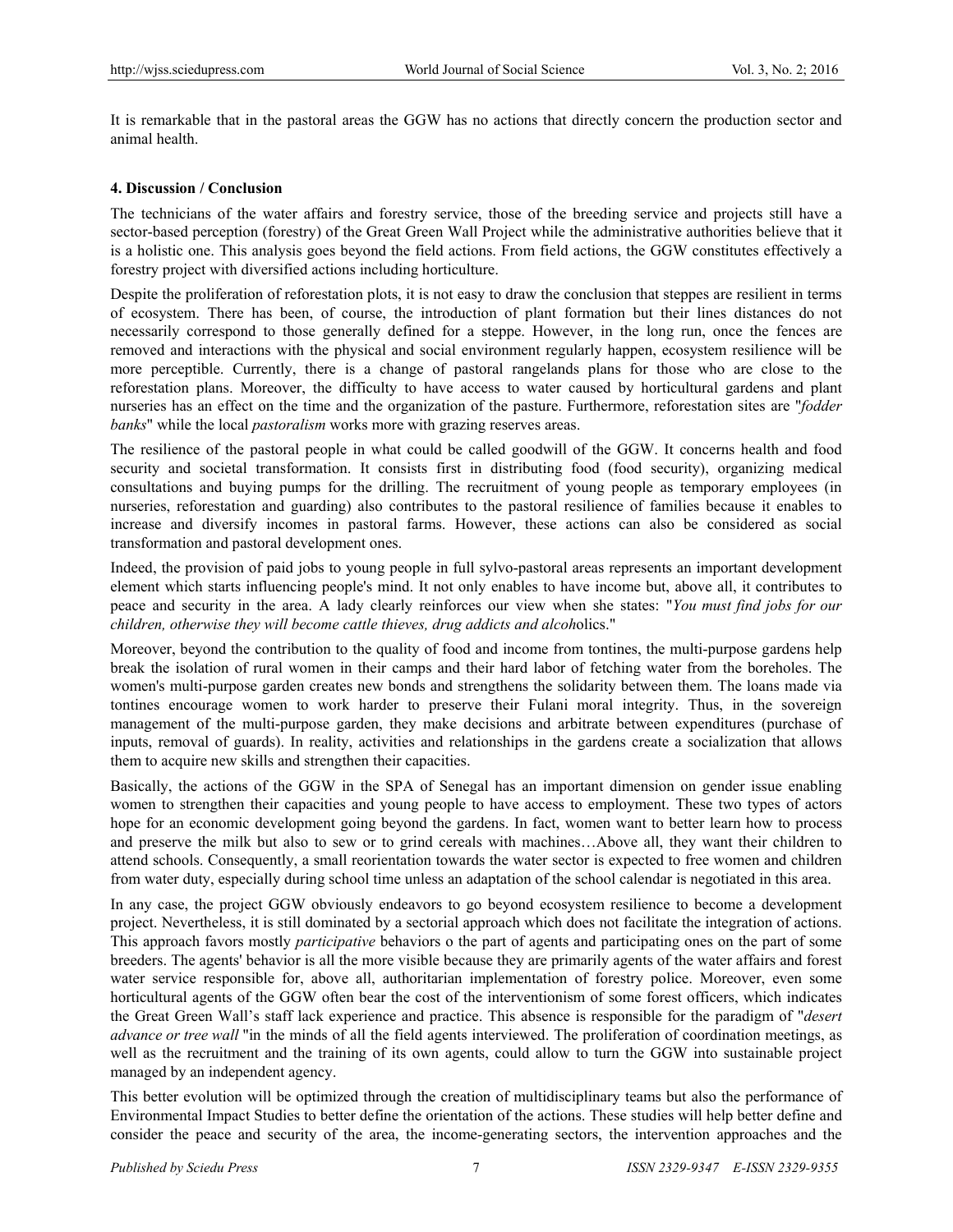It is remarkable that in the pastoral areas the GGW has no actions that directly concern the production sector and animal health.

#### **4. Discussion / Conclusion**

The technicians of the water affairs and forestry service, those of the breeding service and projects still have a sector-based perception (forestry) of the Great Green Wall Project while the administrative authorities believe that it is a holistic one. This analysis goes beyond the field actions. From field actions, the GGW constitutes effectively a forestry project with diversified actions including horticulture.

Despite the proliferation of reforestation plots, it is not easy to draw the conclusion that steppes are resilient in terms of ecosystem. There has been, of course, the introduction of plant formation but their lines distances do not necessarily correspond to those generally defined for a steppe. However, in the long run, once the fences are removed and interactions with the physical and social environment regularly happen, ecosystem resilience will be more perceptible. Currently, there is a change of pastoral rangelands plans for those who are close to the reforestation plans. Moreover, the difficulty to have access to water caused by horticultural gardens and plant nurseries has an effect on the time and the organization of the pasture. Furthermore, reforestation sites are "*fodder banks*" while the local *pastoralism* works more with grazing reserves areas.

The resilience of the pastoral people in what could be called goodwill of the GGW. It concerns health and food security and societal transformation. It consists first in distributing food (food security), organizing medical consultations and buying pumps for the drilling. The recruitment of young people as temporary employees (in nurseries, reforestation and guarding) also contributes to the pastoral resilience of families because it enables to increase and diversify incomes in pastoral farms. However, these actions can also be considered as social transformation and pastoral development ones.

Indeed, the provision of paid jobs to young people in full sylvo-pastoral areas represents an important development element which starts influencing people's mind. It not only enables to have income but, above all, it contributes to peace and security in the area. A lady clearly reinforces our view when she states: "*You must find jobs for our children, otherwise they will become cattle thieves, drug addicts and alcoh*olics."

Moreover, beyond the contribution to the quality of food and income from tontines, the multi-purpose gardens help break the isolation of rural women in their camps and their hard labor of fetching water from the boreholes. The women's multi-purpose garden creates new bonds and strengthens the solidarity between them. The loans made via tontines encourage women to work harder to preserve their Fulani moral integrity. Thus, in the sovereign management of the multi-purpose garden, they make decisions and arbitrate between expenditures (purchase of inputs, removal of guards). In reality, activities and relationships in the gardens create a socialization that allows them to acquire new skills and strengthen their capacities.

Basically, the actions of the GGW in the SPA of Senegal has an important dimension on gender issue enabling women to strengthen their capacities and young people to have access to employment. These two types of actors hope for an economic development going beyond the gardens. In fact, women want to better learn how to process and preserve the milk but also to sew or to grind cereals with machines…Above all, they want their children to attend schools. Consequently, a small reorientation towards the water sector is expected to free women and children from water duty, especially during school time unless an adaptation of the school calendar is negotiated in this area.

In any case, the project GGW obviously endeavors to go beyond ecosystem resilience to become a development project. Nevertheless, it is still dominated by a sectorial approach which does not facilitate the integration of actions. This approach favors mostly *participative* behaviors o the part of agents and participating ones on the part of some breeders. The agents' behavior is all the more visible because they are primarily agents of the water affairs and forest water service responsible for, above all, authoritarian implementation of forestry police. Moreover, even some horticultural agents of the GGW often bear the cost of the interventionism of some forest officers, which indicates the Great Green Wall's staff lack experience and practice. This absence is responsible for the paradigm of "*desert advance or tree wall* "in the minds of all the field agents interviewed. The proliferation of coordination meetings, as well as the recruitment and the training of its own agents, could allow to turn the GGW into sustainable project managed by an independent agency.

This better evolution will be optimized through the creation of multidisciplinary teams but also the performance of Environmental Impact Studies to better define the orientation of the actions. These studies will help better define and consider the peace and security of the area, the income-generating sectors, the intervention approaches and the